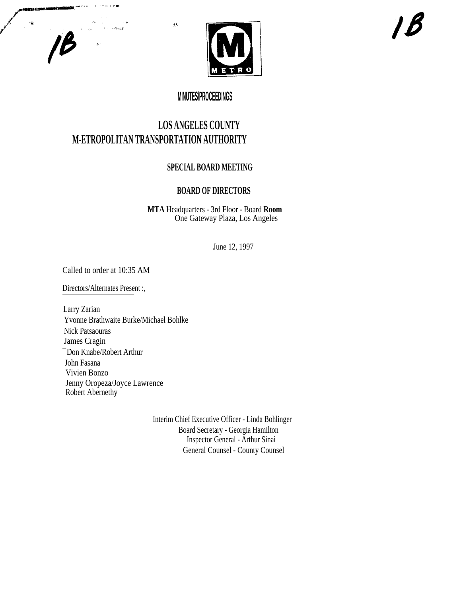

## **MINUTES/PROCEEDINGS**

# **LOS ANGELES COUNTY M-ETROPOLITAN TRANSPORTATION AUTHORITY**

À.

### **SPECIAL BOARD MEETING**

### **BOARD OF DIRECTORS**

**MTA** Headquarters - 3rd Floor - Board **Room** One Gateway Plaza, Los Angeles

June 12, 1997

Called to order at 10:35 AM

**Si**tuasema ()

 $18$ 

 $\mathbf{r}$ 

alar<br>Salah Se**ra**d

Directors/Alternates Present :,

Larry Zarian Yvonne Brathwaite Burke/Michael Bohlke Nick Patsaouras James Cragin ¯ Don Knabe/Robert Arthur John Fasana Vivien Bonzo Jenny Oropeza/Joyce Lawrence Robert Abernethy

> Interim Chief Executive Officer - Linda Bohlinger Board Secretary - Georgia Hamilton Inspector General - Arthur Sinai General Counsel - County Counsel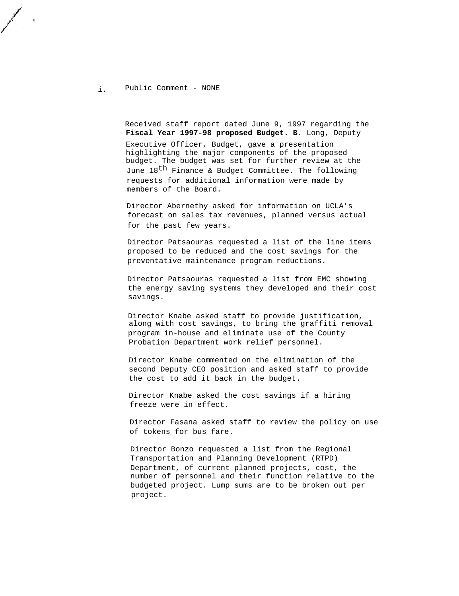#### i. Public Comment - NONE

Received staff report dated June 9, 1997 regarding the **Fiscal Year 1997-98 proposed Budget. B.** Long, Deputy Executive Officer, Budget, gave a presentation highlighting the major components of the proposed budget. The budget was set for further review at the June 18<sup>th</sup> Finance & Budget Committee. The following requests for additional information were made by members of the Board.

Director Abernethy asked for information on UCLA's forecast on sales tax revenues, planned versus actual for the past few years.

Director Patsaouras requested a list of the line items proposed to be reduced and the cost savings for the preventative maintenance program reductions.

Director Patsaouras requested a list from EMC showing the energy saving systems they developed and their cost savings.

Director Knabe asked staff to provide justification, along with cost savings, to bring the graffiti removal program in-house and eliminate use of the County Probation Department work relief personnel.

Director Knabe commented on the elimination of the second Deputy CEO position and asked staff to provide the cost to add it back in the budget.

Director Knabe asked the cost savings if a hiring freeze were in effect.

Director Fasana asked staff to review the policy on use of tokens for bus fare.

Director Bonzo requested a list from the Regional Transportation and Planning Development (RTPD) Department, of current planned projects, cost, the number of personnel and their function relative to the budgeted project. Lump sums are to be broken out per project.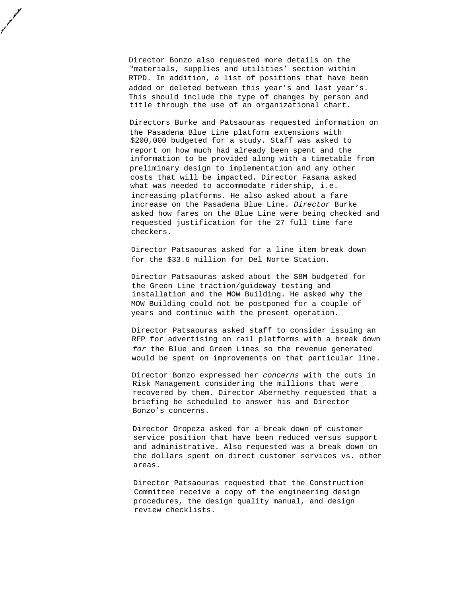Director Bonzo also requested more details on the "materials, supplies and utilities' section within RTPD. In addition, a list of positions that have been added or deleted between this year's and last year's. This should include the type of changes by person and title through the use of an organizational chart.

Directors Burke and Patsaouras requested information on the Pasadena Blue Line platform extensions with \$200,000 budgeted for a study. Staff was asked to report on how much had already been spent and the information to be provided along with a timetable from preliminary design to implementation and any other costs that will be impacted. Director Fasana asked what was needed to accommodate ridership, i.e. increasing platforms. He also asked about a fare increase on the Pasadena Blue Line. Director Burke asked how fares on the Blue Line were being checked and requested justification for the 27 full time fare checkers.

Director Patsaouras asked for a line item break down for the \$33.6 million for Del Norte Station.

Director Patsaouras asked about the \$8M budgeted for the Green Line traction/guideway testing and installation and the MOW Building. He asked why the MOW Building could not be postponed for a couple of years and continue with the present operation.

Director Patsaouras asked staff to consider issuing an RFP for advertising on rail platforms with a break down for the Blue and Green Lines so the revenue generated would be spent on improvements on that particular line.

Director Bonzo expressed her concerns with the cuts in Risk Management considering the millions that were recovered by them. Director Abernethy requested that a briefing be scheduled to answer his and Director Bonzo's concerns.

Director Oropeza asked for a break down of customer service position that have been reduced versus support and administrative. Also requested was a break down on the dollars spent on direct customer services vs. other areas.

Director Patsaouras requested that the Construction Committee receive a copy of the engineering design procedures, the design quality manual, and design review checklists.